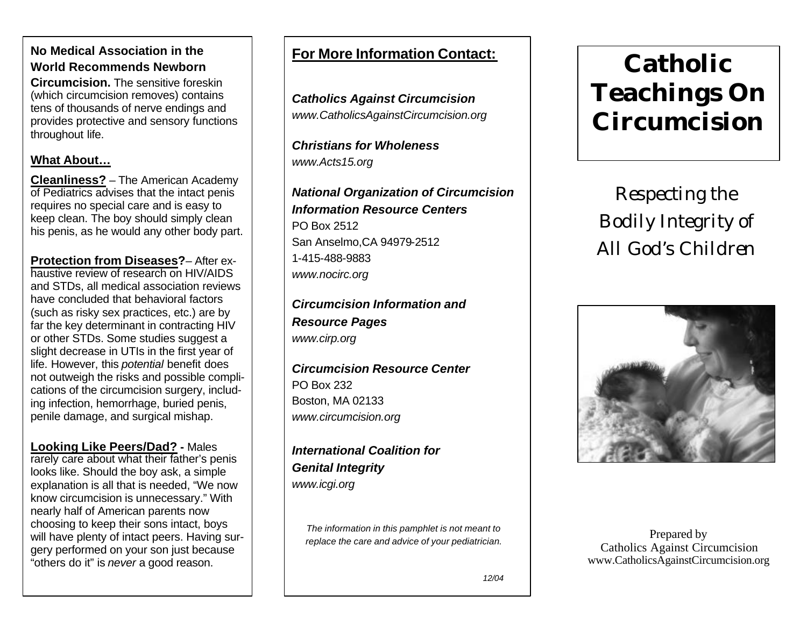### **No Medical Association in the World Recommends Newborn**

**Circumcision.** The sensitive foreskin (which circumcision removes) contains tens of thousands of nerve endings and provides protective and sensory functions throughout life.

### **What About…**

**Cleanliness?** – The American Academy of Pediatrics advises that the intact penis requires no special care and is easy to keep clean. The boy should simply clean his penis, as he would any other body part.

**Protection from Diseases?**– After exhaustive review of research on HIV/AIDS and STDs, all medical association reviews have concluded that behavioral factors (such as risky sex practices, etc.) are by far the key determinant in contracting HIV or other STDs. Some studies suggest a slight decrease in UTIs in the first year of life. However, this *potential* benefit does not outweigh the risks and possible complications of the circumcision surgery, including infection, hemorrhage, buried penis, penile damage, and surgical mishap.

**Looking Like Peers/Dad? -** Males rarely care about what their father's penis looks like. Should the boy ask, a simple explanation is all that is needed, "We now know circumcision is unnecessary." With nearly half of American parents now choosing to keep their sons intact, boys will have plenty of intact peers. Having surgery performed on your son just because "others do it" is *never* a good reason.

## **For More Information Contact:**

*Catholics Against Circumcision www.CatholicsAgainstCircumcision.org*

*Christians for Wholeness www.Acts15.org*

*National Organization of Circumcision Information Resource Centers*  PO Box 2512 San Anselmo,CA 94979-2512 1-415-488-9883 *www.nocirc.org*

*Circumcision Information and Resource Pages www.cirp.org*

*Circumcision Resource Center* PO Box 232 Boston, MA 02133 *www.circumcision.org*

*International Coalition for Genital Integrity www.icgi.org*

*The information in this pamphlet is not meant to replace the care and advice of your pediatrician.*

# **Catholic Teachings On Circumcision**

*Respecting the Bodily Integrity of All God's Children*



Prepared by Catholics Against Circumcision www.CatholicsAgainstCircumcision.org